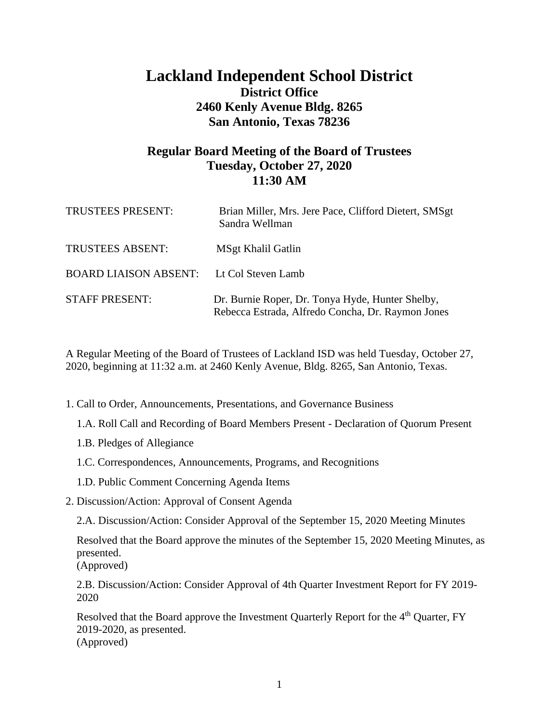## **Lackland Independent School District District Office 2460 Kenly Avenue Bldg. 8265 San Antonio, Texas 78236**

## **Regular Board Meeting of the Board of Trustees Tuesday, October 27, 2020 11:30 AM**

| <b>TRUSTEES PRESENT:</b>                        | Brian Miller, Mrs. Jere Pace, Clifford Dietert, SMSgt<br>Sandra Wellman                               |
|-------------------------------------------------|-------------------------------------------------------------------------------------------------------|
| <b>TRUSTEES ABSENT:</b>                         | MSgt Khalil Gatlin                                                                                    |
| <b>BOARD LIAISON ABSENT:</b> Lt Col Steven Lamb |                                                                                                       |
| <b>STAFF PRESENT:</b>                           | Dr. Burnie Roper, Dr. Tonya Hyde, Hunter Shelby,<br>Rebecca Estrada, Alfredo Concha, Dr. Raymon Jones |

A Regular Meeting of the Board of Trustees of Lackland ISD was held Tuesday, October 27, 2020, beginning at 11:32 a.m. at 2460 Kenly Avenue, Bldg. 8265, San Antonio, Texas.

- 1. Call to Order, Announcements, Presentations, and Governance Business
	- 1.A. Roll Call and Recording of Board Members Present Declaration of Quorum Present
	- 1.B. Pledges of Allegiance
	- 1.C. Correspondences, Announcements, Programs, and Recognitions
	- 1.D. Public Comment Concerning Agenda Items
- 2. Discussion/Action: Approval of Consent Agenda

2.A. Discussion/Action: Consider Approval of the September 15, 2020 Meeting Minutes

Resolved that the Board approve the minutes of the September 15, 2020 Meeting Minutes, as presented.

(Approved)

2.B. Discussion/Action: Consider Approval of 4th Quarter Investment Report for FY 2019- 2020

Resolved that the Board approve the Investment Quarterly Report for the 4<sup>th</sup> Quarter, FY 2019-2020, as presented. (Approved)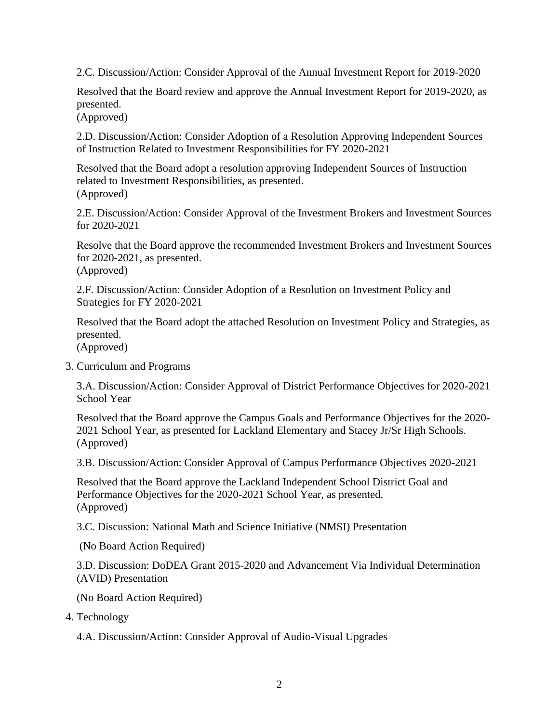2.C. Discussion/Action: Consider Approval of the Annual Investment Report for 2019-2020

Resolved that the Board review and approve the Annual Investment Report for 2019-2020, as presented.

(Approved)

2.D. Discussion/Action: Consider Adoption of a Resolution Approving Independent Sources of Instruction Related to Investment Responsibilities for FY 2020-2021

Resolved that the Board adopt a resolution approving Independent Sources of Instruction related to Investment Responsibilities, as presented. (Approved)

2.E. Discussion/Action: Consider Approval of the Investment Brokers and Investment Sources for 2020-2021

Resolve that the Board approve the recommended Investment Brokers and Investment Sources for 2020-2021, as presented. (Approved)

2.F. Discussion/Action: Consider Adoption of a Resolution on Investment Policy and Strategies for FY 2020-2021

Resolved that the Board adopt the attached Resolution on Investment Policy and Strategies, as presented.

(Approved)

3. Curriculum and Programs

3.A. Discussion/Action: Consider Approval of District Performance Objectives for 2020-2021 School Year

Resolved that the Board approve the Campus Goals and Performance Objectives for the 2020- 2021 School Year, as presented for Lackland Elementary and Stacey Jr/Sr High Schools. (Approved)

3.B. Discussion/Action: Consider Approval of Campus Performance Objectives 2020-2021

Resolved that the Board approve the Lackland Independent School District Goal and Performance Objectives for the 2020-2021 School Year, as presented. (Approved)

3.C. Discussion: National Math and Science Initiative (NMSI) Presentation

(No Board Action Required)

3.D. Discussion: DoDEA Grant 2015-2020 and Advancement Via Individual Determination (AVID) Presentation

(No Board Action Required)

4. Technology

4.A. Discussion/Action: Consider Approval of Audio-Visual Upgrades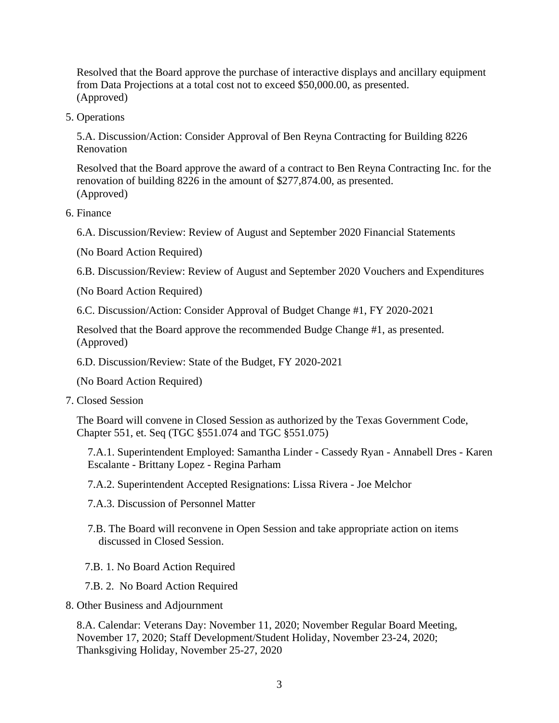Resolved that the Board approve the purchase of interactive displays and ancillary equipment from Data Projections at a total cost not to exceed \$50,000.00, as presented. (Approved)

5. Operations

5.A. Discussion/Action: Consider Approval of Ben Reyna Contracting for Building 8226 Renovation

Resolved that the Board approve the award of a contract to Ben Reyna Contracting Inc. for the renovation of building 8226 in the amount of \$277,874.00, as presented. (Approved)

6. Finance

6.A. Discussion/Review: Review of August and September 2020 Financial Statements

(No Board Action Required)

6.B. Discussion/Review: Review of August and September 2020 Vouchers and Expenditures

(No Board Action Required)

6.C. Discussion/Action: Consider Approval of Budget Change #1, FY 2020-2021

Resolved that the Board approve the recommended Budge Change #1, as presented. (Approved)

6.D. Discussion/Review: State of the Budget, FY 2020-2021

(No Board Action Required)

7. Closed Session

The Board will convene in Closed Session as authorized by the Texas Government Code, Chapter 551, et. Seq (TGC §551.074 and TGC §551.075)

7.A.1. Superintendent Employed: Samantha Linder - Cassedy Ryan - Annabell Dres - Karen Escalante - Brittany Lopez - Regina Parham

7.A.2. Superintendent Accepted Resignations: Lissa Rivera - Joe Melchor

- 7.A.3. Discussion of Personnel Matter
- 7.B. The Board will reconvene in Open Session and take appropriate action on items discussed in Closed Session.
- 7.B. 1. No Board Action Required
- 7.B. 2. No Board Action Required
- 8. Other Business and Adjournment

8.A. Calendar: Veterans Day: November 11, 2020; November Regular Board Meeting, November 17, 2020; Staff Development/Student Holiday, November 23-24, 2020; Thanksgiving Holiday, November 25-27, 2020